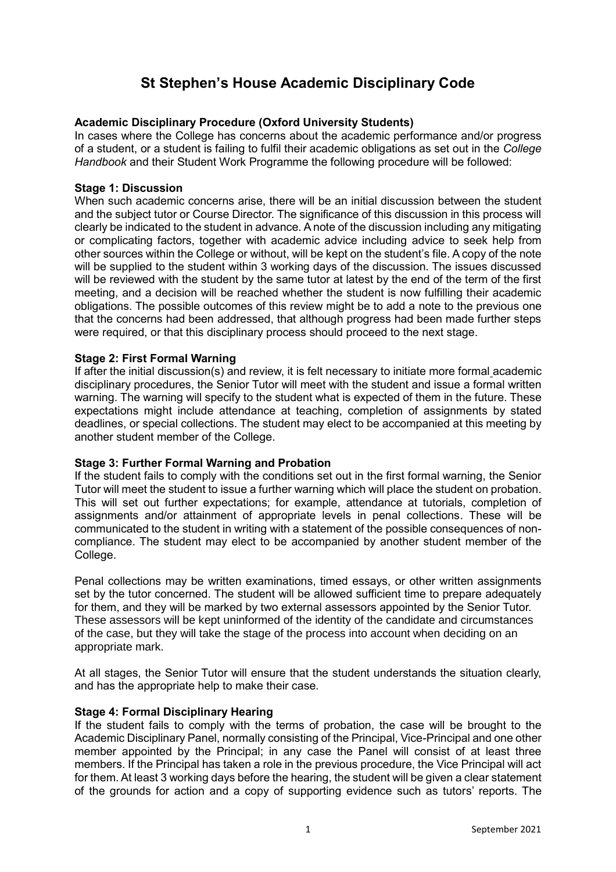# **St Stephen's House Academic Disciplinary Code**

# **Academic Disciplinary Procedure (Oxford University Students)**

In cases where the College has concerns about the academic performance and/or progress of a student, or a student is failing to fulfil their academic obligations as set out in the *College Handbook* and their Student Work Programme the following procedure will be followed:

#### **Stage 1: Discussion**

When such academic concerns arise, there will be an initial discussion between the student and the subject tutor or Course Director. The significance of this discussion in this process will clearly be indicated to the student in advance. A note of the discussion including any mitigating or complicating factors, together with academic advice including advice to seek help from other sources within the College or without, will be kept on the student's file. A copy of the note will be supplied to the student within 3 working days of the discussion. The issues discussed will be reviewed with the student by the same tutor at latest by the end of the term of the first meeting, and a decision will be reached whether the student is now fulfilling their academic obligations. The possible outcomes of this review might be to add a note to the previous one that the concerns had been addressed, that although progress had been made further steps were required, or that this disciplinary process should proceed to the next stage.

#### **Stage 2: First Formal Warning**

If after the initial discussion(s) and review, it is felt necessary to initiate more formal academic disciplinary procedures, the Senior Tutor will meet with the student and issue a formal written warning. The warning will specify to the student what is expected of them in the future. These expectations might include attendance at teaching, completion of assignments by stated deadlines, or special collections. The student may elect to be accompanied at this meeting by another student member of the College.

## **Stage 3: Further Formal Warning and Probation**

If the student fails to comply with the conditions set out in the first formal warning, the Senior Tutor will meet the student to issue a further warning which will place the student on probation. This will set out further expectations; for example, attendance at tutorials, completion of assignments and/or attainment of appropriate levels in penal collections. These will be communicated to the student in writing with a statement of the possible consequences of noncompliance. The student may elect to be accompanied by another student member of the College.

Penal collections may be written examinations, timed essays, or other written assignments set by the tutor concerned. The student will be allowed sufficient time to prepare adequately for them, and they will be marked by two external assessors appointed by the Senior Tutor. These assessors will be kept uninformed of the identity of the candidate and circumstances of the case, but they will take the stage of the process into account when deciding on an appropriate mark.

At all stages, the Senior Tutor will ensure that the student understands the situation clearly, and has the appropriate help to make their case.

## **Stage 4: Formal Disciplinary Hearing**

If the student fails to comply with the terms of probation, the case will be brought to the Academic Disciplinary Panel, normally consisting of the Principal, Vice-Principal and one other member appointed by the Principal; in any case the Panel will consist of at least three members. If the Principal has taken a role in the previous procedure, the Vice Principal will act for them. At least 3 working days before the hearing, the student will be given a clear statement of the grounds for action and a copy of supporting evidence such as tutors' reports. The